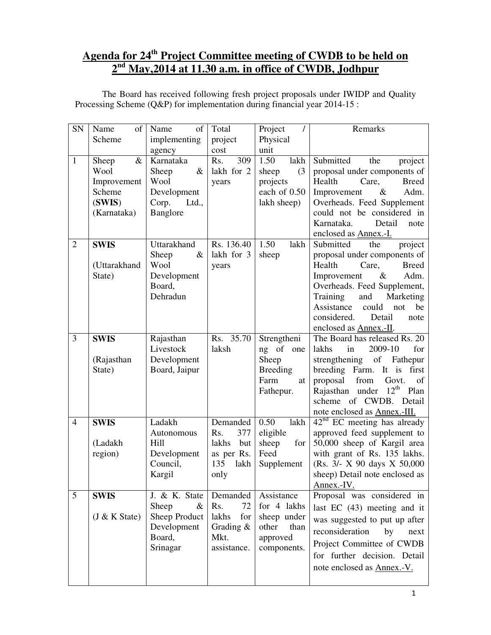# **Agenda for 24th Project Committee meeting of CWDB to be held on 2 nd May,2014 at 11.30 a.m. in office of CWDB, Jodhpur**

| SN             | Name<br>of      | Name<br>of     | Total        | Project<br>$\prime$ | Remarks                                         |
|----------------|-----------------|----------------|--------------|---------------------|-------------------------------------------------|
|                | Scheme          | implementing   | project      | Physical            |                                                 |
|                |                 | agency         | cost         | unit                |                                                 |
| $\mathbf{1}$   | $\&$<br>Sheep   | Karnataka      | 309<br>Rs.   | 1.50<br>lakh        | Submitted<br>the<br>project                     |
|                | Wool            | Sheep<br>$\&$  | lakh for 2   | (3)<br>sheep        | proposal under components of                    |
|                | Improvement     | Wool           | years        | projects            | Health<br>Care,<br><b>Breed</b>                 |
|                | Scheme          | Development    |              | each of 0.50        | Adm.<br>Improvement<br>$\&$                     |
|                | (SWIS)          | Corp.<br>Ltd., |              | lakh sheep)         | Overheads. Feed Supplement                      |
|                | (Karnataka)     | Banglore       |              |                     | could not be considered in                      |
|                |                 |                |              |                     | Karnataka.<br>Detail<br>note                    |
|                |                 |                |              |                     | enclosed as Annex.-I.                           |
| $\overline{2}$ | <b>SWIS</b>     | Uttarakhand    | Rs. 136.40   | 1.50<br>lakh        | Submitted<br>the<br>project                     |
|                |                 | Sheep<br>$\&$  | lakh for 3   | sheep               | proposal under components of                    |
|                | (Uttarakhand    | Wool           | years        |                     | Health<br>Care,<br><b>Breed</b>                 |
|                | State)          | Development    |              |                     | $\&$<br>Adm.<br>Improvement                     |
|                |                 | Board,         |              |                     | Overheads. Feed Supplement,                     |
|                |                 | Dehradun       |              |                     | Training<br>and<br>Marketing                    |
|                |                 |                |              |                     | Assistance<br>could<br>be<br>not<br>considered. |
|                |                 |                |              |                     | Detail<br>note<br>enclosed as Annex.-II.        |
| 3              | <b>SWIS</b>     | Rajasthan      | Rs. 35.70    | Strengtheni         | The Board has released Rs. 20                   |
|                |                 | Livestock      | laksh        | ng of one           | 2009-10<br>for<br>lakhs<br>in                   |
|                | (Rajasthan      | Development    |              | Sheep               | of Fathepur<br>strengthening                    |
|                | State)          | Board, Jaipur  |              | <b>Breeding</b>     | breeding Farm. It is first                      |
|                |                 |                |              | Farm<br>at          | from<br>proposal<br>Govt.<br>of                 |
|                |                 |                |              | Fathepur.           | Rajasthan under $12th$<br>Plan                  |
|                |                 |                |              |                     | scheme of CWDB. Detail                          |
|                |                 |                |              |                     | note enclosed as <b>Annex.-III.</b>             |
| $\overline{4}$ | <b>SWIS</b>     | Ladakh         | Demanded     | 0.50<br>lakh        | $42nd$ EC meeting has already                   |
|                |                 | Autonomous     | 377<br>Rs.   | eligible            | approved feed supplement to                     |
|                | (Ladakh         | Hill           | lakhs<br>but | sheep<br>for        | 50,000 sheep of Kargil area                     |
|                | region)         | Development    | as per Rs.   | Feed                | with grant of Rs. 135 lakhs.                    |
|                |                 | Council,       | 135<br>lakh  | Supplement          | (Rs. 3/- X 90 days X 50,000                     |
|                |                 | Kargil         | only         |                     | sheep) Detail note enclosed as                  |
|                |                 |                |              |                     | Annex.-IV.                                      |
| 5              | <b>SWIS</b>     | J. & K. State  | Demanded     | Assistance          | Proposal was considered in                      |
|                |                 | Sheep<br>&     | Rs.<br>72    | for 4 lakhs         | last EC (43) meeting and it                     |
|                | $(J & K$ State) | Sheep Product  | lakhs<br>for | sheep under         | was suggested to put up after                   |
|                |                 | Development    | Grading $\&$ | other<br>than       | reconsideration<br>by<br>next                   |
|                |                 | Board,         | Mkt.         | approved            | Project Committee of CWDB                       |
|                |                 | Srinagar       | assistance.  | components.         | for further decision. Detail                    |
|                |                 |                |              |                     |                                                 |
|                |                 |                |              |                     | note enclosed as Annex.-V.                      |
|                |                 |                |              |                     |                                                 |

 The Board has received following fresh project proposals under IWIDP and Quality Processing Scheme (Q&P) for implementation during financial year 2014-15 :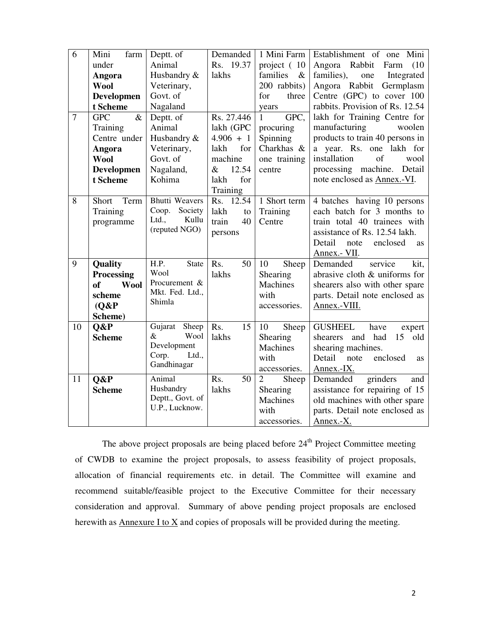| 6<br>Demanded<br>1 Mini Farm<br>Establishment of one Mini<br>Mini<br>farm<br>Deptt. of<br>Animal<br>Rs. 19.37<br>project (10<br>Angora Rabbit<br>under<br>Farm<br>(10)<br>families),<br>Husbandry &<br>families &<br>Integrated<br>Angora<br>lakhs<br>one<br>Angora Rabbit<br><b>Wool</b><br>Veterinary,<br>Germplasm<br>200 rabbits)<br>Govt. of<br>Centre (GPC) to cover 100<br><b>Developmen</b><br>for<br>three<br>rabbits. Provision of Rs. 12.54<br>Nagaland<br>t Scheme<br>years<br>$\&$<br>GPC,<br>$\tau$<br><b>GPC</b><br>Deptt. of<br>Rs. 27.446<br>lakh for Training Centre for<br>$\mathbf{1}$<br>manufacturing<br>Animal<br>lakh (GPC<br>woolen<br>Training<br>procuring<br>products to train 40 persons in<br>Centre under<br>Husbandry &<br>Spinning<br>$4.906 + 1$<br>for<br>Charkhas &<br>a year. Rs. one lakh for<br>Veterinary,<br>Angora<br>lakh<br>installation<br>$\sigma$ f<br>Govt. of<br>machine<br>wool<br><b>Wool</b><br>one training<br>processing machine. Detail<br>Nagaland,<br>12.54<br><b>Developmen</b><br>$\&$<br>centre<br>note enclosed as Annex.-VI.<br>Kohima<br>for<br>t Scheme<br>lakh<br>Training<br><b>Bhutti Weavers</b><br>8<br>1 Short term<br>Term<br>Rs. 12.54<br>4 batches having 10 persons<br>Short<br>Society<br>Coop.<br>each batch for 3 months to<br>Training<br>lakh<br>Training<br>to<br>Ltd.,<br>Kullu<br>train total 40 trainees with<br>train<br>40<br>programme<br>Centre<br>(reputed NGO)<br>assistance of Rs. 12.54 lakh.<br>persons<br>Detail<br>note<br>enclosed<br><b>as</b><br>Annex.- VII.<br>$\overline{9}$<br>H.P.<br><b>State</b><br>Rs.<br>50<br>10<br>service<br>kit,<br>Quality<br>Sheep<br>Demanded<br>Wool<br>lakhs<br>abrasive cloth & uniforms for<br>Processing<br>Shearing<br>Procurement &<br>Machines<br>shearers also with other spare<br><sub>of</sub><br><b>Wool</b><br>Mkt. Fed. Ltd., |
|------------------------------------------------------------------------------------------------------------------------------------------------------------------------------------------------------------------------------------------------------------------------------------------------------------------------------------------------------------------------------------------------------------------------------------------------------------------------------------------------------------------------------------------------------------------------------------------------------------------------------------------------------------------------------------------------------------------------------------------------------------------------------------------------------------------------------------------------------------------------------------------------------------------------------------------------------------------------------------------------------------------------------------------------------------------------------------------------------------------------------------------------------------------------------------------------------------------------------------------------------------------------------------------------------------------------------------------------------------------------------------------------------------------------------------------------------------------------------------------------------------------------------------------------------------------------------------------------------------------------------------------------------------------------------------------------------------------------------------------------------------------------------------------------------------------------------------------------------------------------------|
|                                                                                                                                                                                                                                                                                                                                                                                                                                                                                                                                                                                                                                                                                                                                                                                                                                                                                                                                                                                                                                                                                                                                                                                                                                                                                                                                                                                                                                                                                                                                                                                                                                                                                                                                                                                                                                                                              |
|                                                                                                                                                                                                                                                                                                                                                                                                                                                                                                                                                                                                                                                                                                                                                                                                                                                                                                                                                                                                                                                                                                                                                                                                                                                                                                                                                                                                                                                                                                                                                                                                                                                                                                                                                                                                                                                                              |
|                                                                                                                                                                                                                                                                                                                                                                                                                                                                                                                                                                                                                                                                                                                                                                                                                                                                                                                                                                                                                                                                                                                                                                                                                                                                                                                                                                                                                                                                                                                                                                                                                                                                                                                                                                                                                                                                              |
|                                                                                                                                                                                                                                                                                                                                                                                                                                                                                                                                                                                                                                                                                                                                                                                                                                                                                                                                                                                                                                                                                                                                                                                                                                                                                                                                                                                                                                                                                                                                                                                                                                                                                                                                                                                                                                                                              |
|                                                                                                                                                                                                                                                                                                                                                                                                                                                                                                                                                                                                                                                                                                                                                                                                                                                                                                                                                                                                                                                                                                                                                                                                                                                                                                                                                                                                                                                                                                                                                                                                                                                                                                                                                                                                                                                                              |
|                                                                                                                                                                                                                                                                                                                                                                                                                                                                                                                                                                                                                                                                                                                                                                                                                                                                                                                                                                                                                                                                                                                                                                                                                                                                                                                                                                                                                                                                                                                                                                                                                                                                                                                                                                                                                                                                              |
|                                                                                                                                                                                                                                                                                                                                                                                                                                                                                                                                                                                                                                                                                                                                                                                                                                                                                                                                                                                                                                                                                                                                                                                                                                                                                                                                                                                                                                                                                                                                                                                                                                                                                                                                                                                                                                                                              |
|                                                                                                                                                                                                                                                                                                                                                                                                                                                                                                                                                                                                                                                                                                                                                                                                                                                                                                                                                                                                                                                                                                                                                                                                                                                                                                                                                                                                                                                                                                                                                                                                                                                                                                                                                                                                                                                                              |
|                                                                                                                                                                                                                                                                                                                                                                                                                                                                                                                                                                                                                                                                                                                                                                                                                                                                                                                                                                                                                                                                                                                                                                                                                                                                                                                                                                                                                                                                                                                                                                                                                                                                                                                                                                                                                                                                              |
|                                                                                                                                                                                                                                                                                                                                                                                                                                                                                                                                                                                                                                                                                                                                                                                                                                                                                                                                                                                                                                                                                                                                                                                                                                                                                                                                                                                                                                                                                                                                                                                                                                                                                                                                                                                                                                                                              |
|                                                                                                                                                                                                                                                                                                                                                                                                                                                                                                                                                                                                                                                                                                                                                                                                                                                                                                                                                                                                                                                                                                                                                                                                                                                                                                                                                                                                                                                                                                                                                                                                                                                                                                                                                                                                                                                                              |
|                                                                                                                                                                                                                                                                                                                                                                                                                                                                                                                                                                                                                                                                                                                                                                                                                                                                                                                                                                                                                                                                                                                                                                                                                                                                                                                                                                                                                                                                                                                                                                                                                                                                                                                                                                                                                                                                              |
|                                                                                                                                                                                                                                                                                                                                                                                                                                                                                                                                                                                                                                                                                                                                                                                                                                                                                                                                                                                                                                                                                                                                                                                                                                                                                                                                                                                                                                                                                                                                                                                                                                                                                                                                                                                                                                                                              |
|                                                                                                                                                                                                                                                                                                                                                                                                                                                                                                                                                                                                                                                                                                                                                                                                                                                                                                                                                                                                                                                                                                                                                                                                                                                                                                                                                                                                                                                                                                                                                                                                                                                                                                                                                                                                                                                                              |
|                                                                                                                                                                                                                                                                                                                                                                                                                                                                                                                                                                                                                                                                                                                                                                                                                                                                                                                                                                                                                                                                                                                                                                                                                                                                                                                                                                                                                                                                                                                                                                                                                                                                                                                                                                                                                                                                              |
|                                                                                                                                                                                                                                                                                                                                                                                                                                                                                                                                                                                                                                                                                                                                                                                                                                                                                                                                                                                                                                                                                                                                                                                                                                                                                                                                                                                                                                                                                                                                                                                                                                                                                                                                                                                                                                                                              |
|                                                                                                                                                                                                                                                                                                                                                                                                                                                                                                                                                                                                                                                                                                                                                                                                                                                                                                                                                                                                                                                                                                                                                                                                                                                                                                                                                                                                                                                                                                                                                                                                                                                                                                                                                                                                                                                                              |
|                                                                                                                                                                                                                                                                                                                                                                                                                                                                                                                                                                                                                                                                                                                                                                                                                                                                                                                                                                                                                                                                                                                                                                                                                                                                                                                                                                                                                                                                                                                                                                                                                                                                                                                                                                                                                                                                              |
|                                                                                                                                                                                                                                                                                                                                                                                                                                                                                                                                                                                                                                                                                                                                                                                                                                                                                                                                                                                                                                                                                                                                                                                                                                                                                                                                                                                                                                                                                                                                                                                                                                                                                                                                                                                                                                                                              |
|                                                                                                                                                                                                                                                                                                                                                                                                                                                                                                                                                                                                                                                                                                                                                                                                                                                                                                                                                                                                                                                                                                                                                                                                                                                                                                                                                                                                                                                                                                                                                                                                                                                                                                                                                                                                                                                                              |
|                                                                                                                                                                                                                                                                                                                                                                                                                                                                                                                                                                                                                                                                                                                                                                                                                                                                                                                                                                                                                                                                                                                                                                                                                                                                                                                                                                                                                                                                                                                                                                                                                                                                                                                                                                                                                                                                              |
|                                                                                                                                                                                                                                                                                                                                                                                                                                                                                                                                                                                                                                                                                                                                                                                                                                                                                                                                                                                                                                                                                                                                                                                                                                                                                                                                                                                                                                                                                                                                                                                                                                                                                                                                                                                                                                                                              |
|                                                                                                                                                                                                                                                                                                                                                                                                                                                                                                                                                                                                                                                                                                                                                                                                                                                                                                                                                                                                                                                                                                                                                                                                                                                                                                                                                                                                                                                                                                                                                                                                                                                                                                                                                                                                                                                                              |
| with<br>parts. Detail note enclosed as<br>scheme                                                                                                                                                                                                                                                                                                                                                                                                                                                                                                                                                                                                                                                                                                                                                                                                                                                                                                                                                                                                                                                                                                                                                                                                                                                                                                                                                                                                                                                                                                                                                                                                                                                                                                                                                                                                                             |
| Shimla<br>(O&P)<br>accessories.<br>Annex.-VIII.                                                                                                                                                                                                                                                                                                                                                                                                                                                                                                                                                                                                                                                                                                                                                                                                                                                                                                                                                                                                                                                                                                                                                                                                                                                                                                                                                                                                                                                                                                                                                                                                                                                                                                                                                                                                                              |
| Scheme)                                                                                                                                                                                                                                                                                                                                                                                                                                                                                                                                                                                                                                                                                                                                                                                                                                                                                                                                                                                                                                                                                                                                                                                                                                                                                                                                                                                                                                                                                                                                                                                                                                                                                                                                                                                                                                                                      |
| Gujarat<br>Sheep<br>Sheep<br>10<br>Rs.<br>15<br><b>GUSHEEL</b><br>Q&P<br>10<br>have<br>expert                                                                                                                                                                                                                                                                                                                                                                                                                                                                                                                                                                                                                                                                                                                                                                                                                                                                                                                                                                                                                                                                                                                                                                                                                                                                                                                                                                                                                                                                                                                                                                                                                                                                                                                                                                                |
| $\&$<br>Wool<br>lakhs<br><b>Scheme</b><br>Shearing<br>shearers<br>and had<br>old<br>15                                                                                                                                                                                                                                                                                                                                                                                                                                                                                                                                                                                                                                                                                                                                                                                                                                                                                                                                                                                                                                                                                                                                                                                                                                                                                                                                                                                                                                                                                                                                                                                                                                                                                                                                                                                       |
| Development<br>Machines<br>shearing machines.                                                                                                                                                                                                                                                                                                                                                                                                                                                                                                                                                                                                                                                                                                                                                                                                                                                                                                                                                                                                                                                                                                                                                                                                                                                                                                                                                                                                                                                                                                                                                                                                                                                                                                                                                                                                                                |
| Corp.<br>Ltd.,<br>with<br>Detail<br>note<br>enclosed<br><b>as</b>                                                                                                                                                                                                                                                                                                                                                                                                                                                                                                                                                                                                                                                                                                                                                                                                                                                                                                                                                                                                                                                                                                                                                                                                                                                                                                                                                                                                                                                                                                                                                                                                                                                                                                                                                                                                            |
| Gandhinagar<br>accessories.<br>Annex.-IX.                                                                                                                                                                                                                                                                                                                                                                                                                                                                                                                                                                                                                                                                                                                                                                                                                                                                                                                                                                                                                                                                                                                                                                                                                                                                                                                                                                                                                                                                                                                                                                                                                                                                                                                                                                                                                                    |
| 11<br>Animal<br>50<br>Sheep<br>grinders<br>O&P<br>Rs.<br>$\overline{2}$<br>Demanded<br>and                                                                                                                                                                                                                                                                                                                                                                                                                                                                                                                                                                                                                                                                                                                                                                                                                                                                                                                                                                                                                                                                                                                                                                                                                                                                                                                                                                                                                                                                                                                                                                                                                                                                                                                                                                                   |
| Husbandry<br>lakhs<br>assistance for repairing of 15<br><b>Scheme</b><br>Shearing                                                                                                                                                                                                                                                                                                                                                                                                                                                                                                                                                                                                                                                                                                                                                                                                                                                                                                                                                                                                                                                                                                                                                                                                                                                                                                                                                                                                                                                                                                                                                                                                                                                                                                                                                                                            |
| Deptt., Govt. of<br>Machines<br>old machines with other spare                                                                                                                                                                                                                                                                                                                                                                                                                                                                                                                                                                                                                                                                                                                                                                                                                                                                                                                                                                                                                                                                                                                                                                                                                                                                                                                                                                                                                                                                                                                                                                                                                                                                                                                                                                                                                |
| U.P., Lucknow.<br>with<br>parts. Detail note enclosed as                                                                                                                                                                                                                                                                                                                                                                                                                                                                                                                                                                                                                                                                                                                                                                                                                                                                                                                                                                                                                                                                                                                                                                                                                                                                                                                                                                                                                                                                                                                                                                                                                                                                                                                                                                                                                     |
| Annex.-X.<br>accessories.                                                                                                                                                                                                                                                                                                                                                                                                                                                                                                                                                                                                                                                                                                                                                                                                                                                                                                                                                                                                                                                                                                                                                                                                                                                                                                                                                                                                                                                                                                                                                                                                                                                                                                                                                                                                                                                    |

The above project proposals are being placed before  $24<sup>th</sup>$  Project Committee meeting of CWDB to examine the project proposals, to assess feasibility of project proposals, allocation of financial requirements etc. in detail. The Committee will examine and recommend suitable/feasible project to the Executive Committee for their necessary consideration and approval. Summary of above pending project proposals are enclosed herewith as Annexure I to  $X$  and copies of proposals will be provided during the meeting.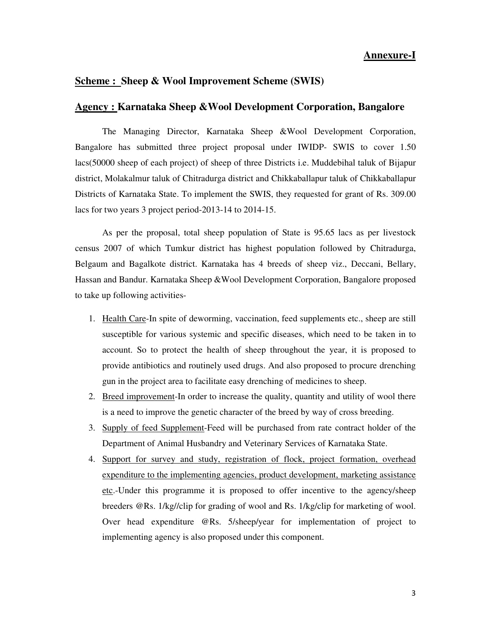#### **Agency : Karnataka Sheep &Wool Development Corporation, Bangalore**

 The Managing Director, Karnataka Sheep &Wool Development Corporation, Bangalore has submitted three project proposal under IWIDP- SWIS to cover 1.50 lacs(50000 sheep of each project) of sheep of three Districts i.e. Muddebihal taluk of Bijapur district, Molakalmur taluk of Chitradurga district and Chikkaballapur taluk of Chikkaballapur Districts of Karnataka State. To implement the SWIS, they requested for grant of Rs. 309.00 lacs for two years 3 project period-2013-14 to 2014-15.

As per the proposal, total sheep population of State is 95.65 lacs as per livestock census 2007 of which Tumkur district has highest population followed by Chitradurga, Belgaum and Bagalkote district. Karnataka has 4 breeds of sheep viz., Deccani, Bellary, Hassan and Bandur. Karnataka Sheep &Wool Development Corporation, Bangalore proposed to take up following activities-

- 1. Health Care-In spite of deworming, vaccination, feed supplements etc., sheep are still susceptible for various systemic and specific diseases, which need to be taken in to account. So to protect the health of sheep throughout the year, it is proposed to provide antibiotics and routinely used drugs. And also proposed to procure drenching gun in the project area to facilitate easy drenching of medicines to sheep.
- 2. Breed improvement-In order to increase the quality, quantity and utility of wool there is a need to improve the genetic character of the breed by way of cross breeding.
- 3. Supply of feed Supplement-Feed will be purchased from rate contract holder of the Department of Animal Husbandry and Veterinary Services of Karnataka State.
- 4. Support for survey and study, registration of flock, project formation, overhead expenditure to the implementing agencies, product development, marketing assistance etc.-Under this programme it is proposed to offer incentive to the agency/sheep breeders @Rs. 1/kg//clip for grading of wool and Rs. 1/kg/clip for marketing of wool. Over head expenditure @Rs. 5/sheep/year for implementation of project to implementing agency is also proposed under this component.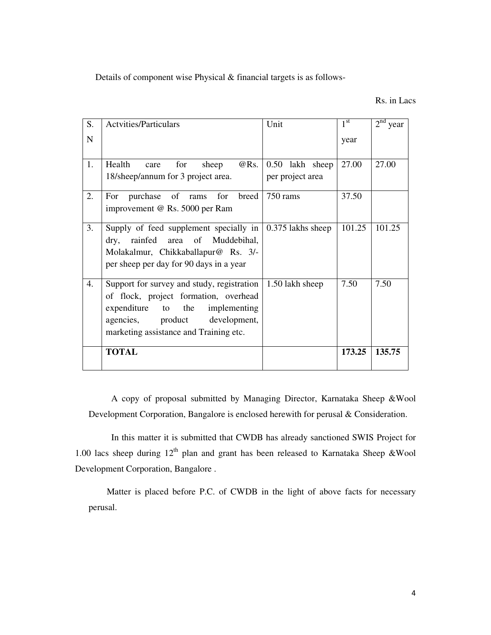Details of component wise Physical & financial targets is as follows-

Rs. in Lacs

| S.          | <b>Actvities/Particulars</b>                                                                                                                                                                          | Unit                                | 1 <sup>st</sup> | $2nd$ year |
|-------------|-------------------------------------------------------------------------------------------------------------------------------------------------------------------------------------------------------|-------------------------------------|-----------------|------------|
| $\mathbf N$ |                                                                                                                                                                                                       |                                     | year            |            |
| 1.          | Health<br>@Rs.<br>for<br>sheep<br>care<br>18/sheep/annum for 3 project area.                                                                                                                          | 0.50 lakh sheep<br>per project area | 27.00           | 27.00      |
| 2.          | purchase of rams<br>for<br>breed<br>For<br>improvement @ Rs. 5000 per Ram                                                                                                                             | 750 rams                            | 37.50           |            |
| 3.          | Supply of feed supplement specially in<br>rainfed area of Muddebihal,<br>dry,<br>Molakalmur, Chikkaballapur@ Rs. 3/-<br>per sheep per day for 90 days in a year                                       | 0.375 lakhs sheep                   | 101.25          | 101.25     |
| 4.          | Support for survey and study, registration<br>of flock, project formation, overhead<br>expenditure to the<br>implementing<br>agencies, product development,<br>marketing assistance and Training etc. | 1.50 lakh sheep                     | 7.50            | 7.50       |
|             | <b>TOTAL</b>                                                                                                                                                                                          |                                     | 173.25          | 135.75     |

 A copy of proposal submitted by Managing Director, Karnataka Sheep &Wool Development Corporation, Bangalore is enclosed herewith for perusal & Consideration.

 In this matter it is submitted that CWDB has already sanctioned SWIS Project for 1.00 lacs sheep during  $12<sup>th</sup>$  plan and grant has been released to Karnataka Sheep &Wool Development Corporation, Bangalore .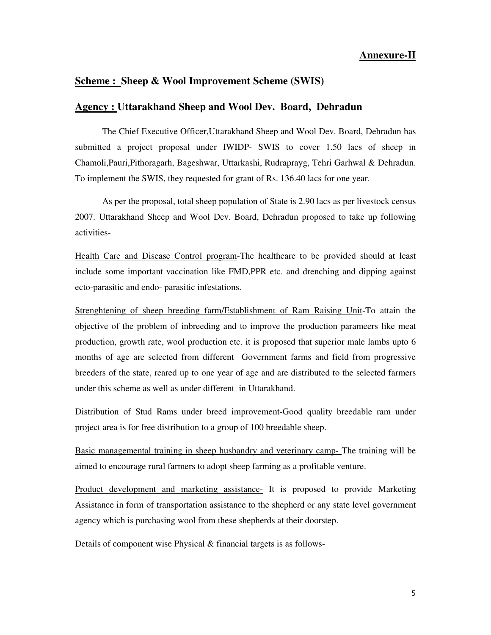#### **Agency : Uttarakhand Sheep and Wool Dev. Board, Dehradun**

 The Chief Executive Officer,Uttarakhand Sheep and Wool Dev. Board, Dehradun has submitted a project proposal under IWIDP- SWIS to cover 1.50 lacs of sheep in Chamoli,Pauri,Pithoragarh, Bageshwar, Uttarkashi, Rudraprayg, Tehri Garhwal & Dehradun. To implement the SWIS, they requested for grant of Rs. 136.40 lacs for one year.

 As per the proposal, total sheep population of State is 2.90 lacs as per livestock census 2007. Uttarakhand Sheep and Wool Dev. Board, Dehradun proposed to take up following activities-

Health Care and Disease Control program-The healthcare to be provided should at least include some important vaccination like FMD,PPR etc. and drenching and dipping against ecto-parasitic and endo- parasitic infestations.

Strenghtening of sheep breeding farm/Establishment of Ram Raising Unit-To attain the objective of the problem of inbreeding and to improve the production parameers like meat production, growth rate, wool production etc. it is proposed that superior male lambs upto 6 months of age are selected from different Government farms and field from progressive breeders of the state, reared up to one year of age and are distributed to the selected farmers under this scheme as well as under different in Uttarakhand.

Distribution of Stud Rams under breed improvement-Good quality breedable ram under project area is for free distribution to a group of 100 breedable sheep.

Basic managemental training in sheep husbandry and veterinary camp- The training will be aimed to encourage rural farmers to adopt sheep farming as a profitable venture.

Product development and marketing assistance- It is proposed to provide Marketing Assistance in form of transportation assistance to the shepherd or any state level government agency which is purchasing wool from these shepherds at their doorstep.

Details of component wise Physical & financial targets is as follows-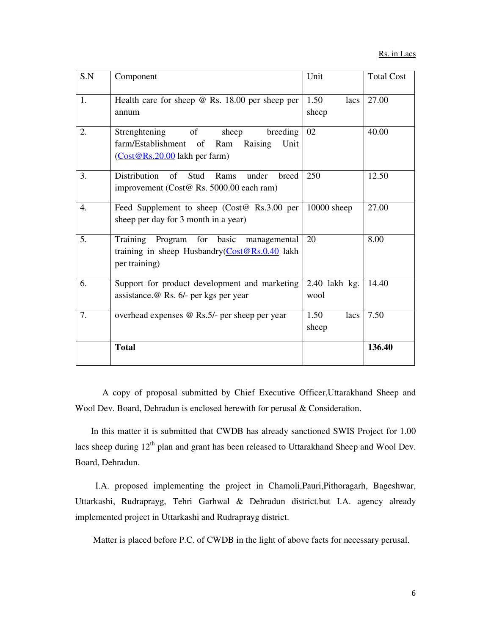| S.N | Component                                                                                                                            | Unit                    | <b>Total Cost</b> |
|-----|--------------------------------------------------------------------------------------------------------------------------------------|-------------------------|-------------------|
| 1.  | Health care for sheep $\omega$ Rs. 18.00 per sheep per<br>annum                                                                      | 1.50<br>lacs<br>sheep   | 27.00             |
| 2.  | Strenghtening of sheep<br>breeding<br>farm/Establishment of Ram Raising<br>Unit<br>(Cost@Rs.20.00 lakh per farm)                     | 02                      | 40.00             |
| 3.  | Distribution<br><sub>of</sub><br>Stud<br>Rams<br>under<br>breed<br>improvement (Cost@ Rs. 5000.00 each ram)                          | 250                     | 12.50             |
| 4.  | Feed Supplement to sheep (Cost@ Rs.3.00 per<br>sheep per day for 3 month in a year)                                                  | $10000$ sheep           | 27.00             |
| 5.  | Training Program for basic<br>managemental<br>training in sheep Husbandry( $\frac{Cost@Rs.0.40}{Cost@Rs.0.40}$ lakh<br>per training) | 20                      | 8.00              |
| 6.  | Support for product development and marketing<br>assistance. @ Rs. 6/- per kgs per year                                              | $2.40$ lakh kg.<br>wool | 14.40             |
| 7.  | overhead expenses @ Rs.5/- per sheep per year                                                                                        | 1.50<br>lacs<br>sheep   | 7.50              |
|     | <b>Total</b>                                                                                                                         |                         | 136.40            |

 A copy of proposal submitted by Chief Executive Officer,Uttarakhand Sheep and Wool Dev. Board, Dehradun is enclosed herewith for perusal & Consideration.

 In this matter it is submitted that CWDB has already sanctioned SWIS Project for 1.00 lacs sheep during 12<sup>th</sup> plan and grant has been released to Uttarakhand Sheep and Wool Dev. Board, Dehradun.

 I.A. proposed implementing the project in Chamoli,Pauri,Pithoragarh, Bageshwar, Uttarkashi, Rudraprayg, Tehri Garhwal & Dehradun district.but I.A. agency already implemented project in Uttarkashi and Rudraprayg district.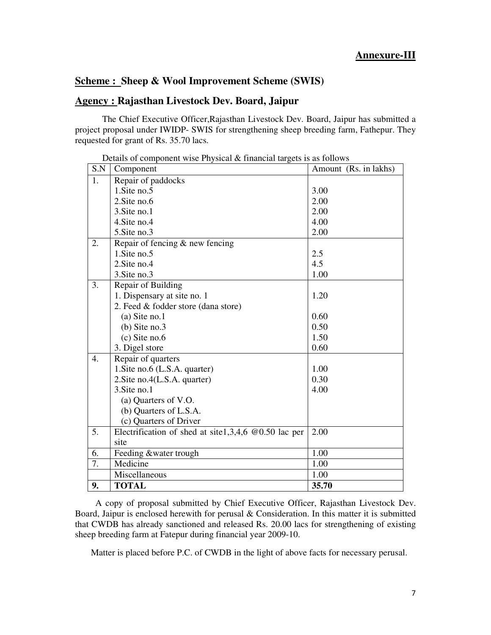# **Agency : Rajasthan Livestock Dev. Board, Jaipur**

 The Chief Executive Officer,Rajasthan Livestock Dev. Board, Jaipur has submitted a project proposal under IWIDP- SWIS for strengthening sheep breeding farm, Fathepur. They requested for grant of Rs. 35.70 lacs.

| S.N | Component                                              | Amount (Rs. in lakhs) |
|-----|--------------------------------------------------------|-----------------------|
| 1.  | Repair of paddocks                                     |                       |
|     | 1. Site no. 5                                          | 3.00                  |
|     | 2. Site no. 6                                          | 2.00                  |
|     | 3. Site no. 1                                          | 2.00                  |
|     | 4. Site no. 4                                          | 4.00                  |
|     | 5. Site no. 3                                          | 2.00                  |
| 2.  | Repair of fencing & new fencing                        |                       |
|     | 1. Site no. 5                                          | 2.5                   |
|     | 2. Site no. 4                                          | 4.5                   |
|     | 3. Site no. 3                                          | 1.00                  |
| 3.  | Repair of Building                                     |                       |
|     | 1. Dispensary at site no. 1                            | 1.20                  |
|     | 2. Feed & fodder store (dana store)                    |                       |
|     | $(a)$ Site no.1                                        | 0.60                  |
|     | $(b)$ Site no.3                                        | 0.50                  |
|     | $(c)$ Site no.6                                        | 1.50                  |
|     | 3. Digel store                                         | 0.60                  |
| 4.  | Repair of quarters                                     |                       |
|     | 1. Site no.6 (L.S.A. quarter)                          | 1.00                  |
|     | 2. Site no. 4(L.S.A. quarter)                          | 0.30                  |
|     | 3. Site no. 1                                          | 4.00                  |
|     | (a) Quarters of V.O.                                   |                       |
|     | (b) Quarters of L.S.A.                                 |                       |
|     | (c) Quarters of Driver                                 |                       |
| 5.  | Electrification of shed at site1,3,4,6 $@0.50$ lac per | 2.00                  |
|     | site                                                   |                       |
| 6.  | Feeding &water trough                                  | 1.00                  |
| 7.  | Medicine                                               | 1.00                  |
|     | Miscellaneous                                          | 1.00                  |
| 9.  | <b>TOTAL</b>                                           | 35.70                 |

Details of component wise Physical & financial targets is as follows

 A copy of proposal submitted by Chief Executive Officer, Rajasthan Livestock Dev. Board, Jaipur is enclosed herewith for perusal & Consideration. In this matter it is submitted that CWDB has already sanctioned and released Rs. 20.00 lacs for strengthening of existing sheep breeding farm at Fatepur during financial year 2009-10.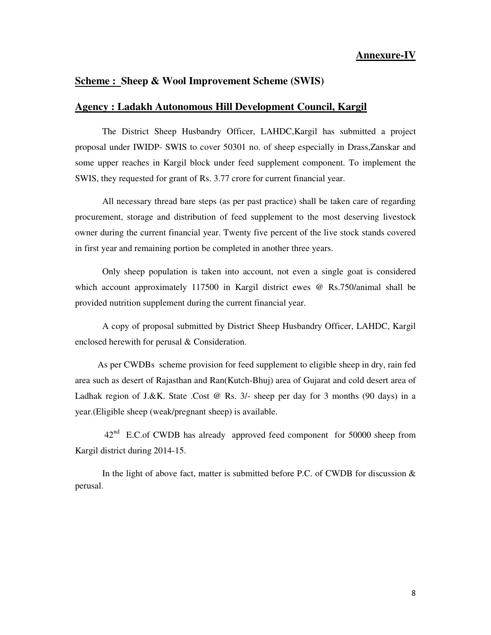#### **Annexure-IV**

#### **Scheme : Sheep & Wool Improvement Scheme (SWIS)**

#### **Agency : Ladakh Autonomous Hill Development Council, Kargil**

 The District Sheep Husbandry Officer, LAHDC,Kargil has submitted a project proposal under IWIDP- SWIS to cover 50301 no. of sheep especially in Drass,Zanskar and some upper reaches in Kargil block under feed supplement component. To implement the SWIS, they requested for grant of Rs. 3.77 crore for current financial year.

 All necessary thread bare steps (as per past practice) shall be taken care of regarding procurement, storage and distribution of feed supplement to the most deserving livestock owner during the current financial year. Twenty five percent of the live stock stands covered in first year and remaining portion be completed in another three years.

 Only sheep population is taken into account, not even a single goat is considered which account approximately 117500 in Kargil district ewes @ Rs.750/animal shall be provided nutrition supplement during the current financial year.

 A copy of proposal submitted by District Sheep Husbandry Officer, LAHDC, Kargil enclosed herewith for perusal & Consideration.

 As per CWDBs scheme provision for feed supplement to eligible sheep in dry, rain fed area such as desert of Rajasthan and Ran(Kutch-Bhuj) area of Gujarat and cold desert area of Ladhak region of J.&K. State .Cost @ Rs. 3/- sheep per day for 3 months (90 days) in a year.(Eligible sheep (weak/pregnant sheep) is available.

42<sup>nd</sup> E.C.of CWDB has already approved feed component for 50000 sheep from Kargil district during 2014-15.

In the light of above fact, matter is submitted before P.C. of CWDB for discussion  $\&$ perusal.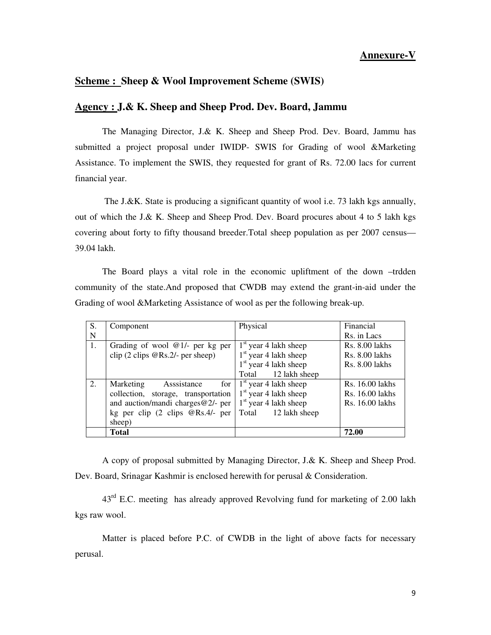#### **Agency : J.& K. Sheep and Sheep Prod. Dev. Board, Jammu**

 The Managing Director, J.& K. Sheep and Sheep Prod. Dev. Board, Jammu has submitted a project proposal under IWIDP- SWIS for Grading of wool &Marketing Assistance. To implement the SWIS, they requested for grant of Rs. 72.00 lacs for current financial year.

 The J.&K. State is producing a significant quantity of wool i.e. 73 lakh kgs annually, out of which the J.& K. Sheep and Sheep Prod. Dev. Board procures about 4 to 5 lakh kgs covering about forty to fifty thousand breeder.Total sheep population as per 2007 census— 39.04 lakh.

 The Board plays a vital role in the economic upliftment of the down –trdden community of the state.And proposed that CWDB may extend the grant-in-aid under the Grading of wool &Marketing Assistance of wool as per the following break-up.

| S. | Component                                              | Physical                    | Financial             |
|----|--------------------------------------------------------|-----------------------------|-----------------------|
| N  |                                                        |                             | Rs. in Lacs           |
| 1. | Grading of wool $@1/-$ per kg per                      | $1st$ year 4 lakh sheep     | <b>Rs. 8.00 lakhs</b> |
|    | clip $(2 \text{ clips } \mathcal{Q}$ Rs.2/- per sheep) | $1st$ year 4 lakh sheep     | <b>Rs. 8.00 lakhs</b> |
|    |                                                        | $1st$ year 4 lakh sheep     | <b>Rs. 8.00 lakhs</b> |
|    |                                                        | Total 12 lakh sheep         |                       |
| 2. | Asssistance<br>Marketing                               | for $1st$ year 4 lakh sheep | Rs. 16.00 lakhs       |
|    | collection, storage, transportation                    | $1st$ year 4 lakh sheep     | Rs. 16.00 lakhs       |
|    | and auction/mandi charges $@2/-$ per                   | $1st$ year 4 lakh sheep     | Rs. 16.00 lakhs       |
|    | kg per clip $(2 \text{ clips } \tQRS.4/- \text{ per }$ | Total<br>12 lakh sheep      |                       |
|    | sheep)                                                 |                             |                       |
|    | Total                                                  |                             | 72.00                 |

 A copy of proposal submitted by Managing Director, J.& K. Sheep and Sheep Prod. Dev. Board, Srinagar Kashmir is enclosed herewith for perusal & Consideration.

43<sup>rd</sup> E.C. meeting has already approved Revolving fund for marketing of 2.00 lakh kgs raw wool.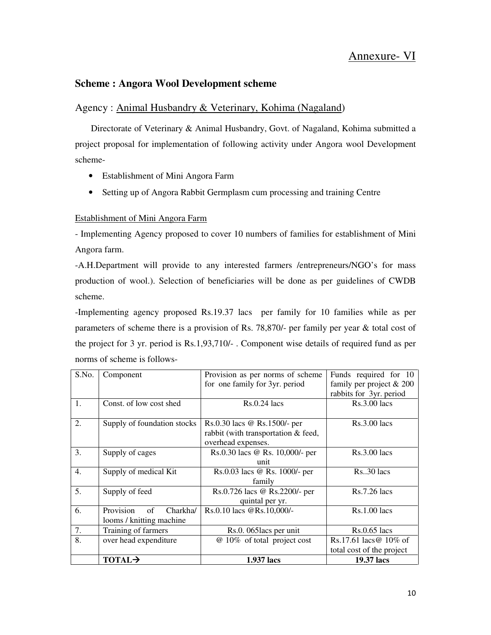# Annexure- VI

#### **Scheme : Angora Wool Development scheme**

# Agency : Animal Husbandry & Veterinary, Kohima (Nagaland)

 Directorate of Veterinary & Animal Husbandry, Govt. of Nagaland, Kohima submitted a project proposal for implementation of following activity under Angora wool Development scheme-

- Establishment of Mini Angora Farm
- Setting up of Angora Rabbit Germplasm cum processing and training Centre

#### Establishment of Mini Angora Farm

- Implementing Agency proposed to cover 10 numbers of families for establishment of Mini Angora farm.

-A.H.Department will provide to any interested farmers /entrepreneurs/NGO's for mass production of wool.). Selection of beneficiaries will be done as per guidelines of CWDB scheme.

-Implementing agency proposed Rs.19.37 lacs per family for 10 families while as per parameters of scheme there is a provision of Rs. 78,870/- per family per year & total cost of the project for 3 yr. period is Rs.1,93,710/- . Component wise details of required fund as per norms of scheme is follows-

| S.No.            | Component                   | Provision as per norms of scheme    | Funds required for 10      |
|------------------|-----------------------------|-------------------------------------|----------------------------|
|                  |                             | for one family for 3yr. period      | family per project $& 200$ |
|                  |                             |                                     | rabbits for 3yr. period    |
| 1.               | Const. of low cost shed     | $Rs.0.24$ lacs                      | Rs.3.00 lacs               |
|                  |                             |                                     |                            |
| 2.               | Supply of foundation stocks | Rs.0.30 lacs @ Rs.1500/- per        | $Rs.3.00$ lacs             |
|                  |                             | rabbit (with transportation & feed, |                            |
|                  |                             | overhead expenses.                  |                            |
| 3.               | Supply of cages             | Rs.0.30 lacs @ Rs. 10,000/- per     | $Rs.3.00$ lacs             |
|                  |                             | unit                                |                            |
| $\overline{4}$ . | Supply of medical Kit       | Rs.0.03 lacs @ Rs. 1000/- per       | $Rs. .30$ lacs             |
|                  |                             | family                              |                            |
| 5.               | Supply of feed              | Rs.0.726 lacs @ Rs.2200/- per       | $Rs.7.26$ lacs             |
|                  |                             | quintal per yr.                     |                            |
| 6.               | Provision<br>Charkha/<br>of | Rs.0.10 lacs @Rs.10,000/-           | Rs.1.00 lacs               |
|                  | looms / knitting machine    |                                     |                            |
| 7.               | Training of farmers         | Rs.0. 065 lacs per unit             | $Rs.0.65$ lacs             |
| 8.               | over head expenditure       | @ 10% of total project cost         | Rs.17.61 lacs $@$ 10\% of  |
|                  |                             |                                     | total cost of the project  |
|                  | <b>TOTAL</b>                | 1.937 lacs                          | 19.37 lacs                 |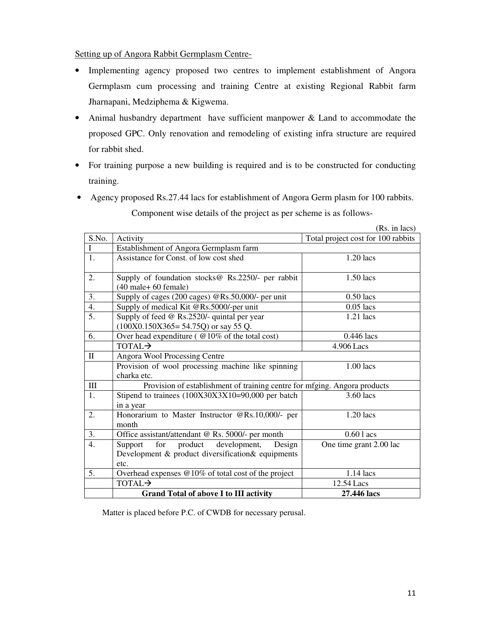Setting up of Angora Rabbit Germplasm Centre-

- Implementing agency proposed two centres to implement establishment of Angora Germplasm cum processing and training Centre at existing Regional Rabbit farm Jharnapani, Medziphema & Kigwema.
- Animal husbandry department have sufficient manpower & Land to accommodate the proposed GPC. Only renovation and remodeling of existing infra structure are required for rabbit shed.
- For training purpose a new building is required and is to be constructed for conducting training.
- Agency proposed Rs.27.44 lacs for establishment of Angora Germ plasm for 100 rabbits. Component wise details of the project as per scheme is as follows-

|                    |                                                                           | (Rs. in lacs)                      |  |  |
|--------------------|---------------------------------------------------------------------------|------------------------------------|--|--|
| S.No.              | Activity                                                                  | Total project cost for 100 rabbits |  |  |
| L                  | Establishment of Angora Germplasm farm                                    |                                    |  |  |
| 1.                 | Assistance for Const. of low cost shed                                    | $1.20$ lacs                        |  |  |
|                    |                                                                           |                                    |  |  |
| 2.                 | Supply of foundation stocks@ Rs.2250/- per rabbit                         | $1.50$ lacs                        |  |  |
|                    | $(40 \text{ male} + 60 \text{ female})$                                   |                                    |  |  |
| 3.                 | Supply of cages (200 cages) @Rs.50,000/- per unit                         | $0.50$ lacs                        |  |  |
| 4.                 | Supply of medical Kit @Rs.5000/-per unit                                  | $0.05$ lacs                        |  |  |
| 5.                 | Supply of feed $@$ Rs.2520/- quintal per year                             | $1.21$ lacs                        |  |  |
|                    | $(100X0.150X365=54.75Q)$ or say 55 Q.                                     |                                    |  |  |
| 6.                 | Over head expenditure ( $@10\%$ of the total cost)                        | $0.446$ lacs                       |  |  |
|                    | $TOTAI \rightarrow$                                                       | 4.906 Lacs                         |  |  |
| $\mathbf{I}$       | <b>Angora Wool Processing Centre</b>                                      |                                    |  |  |
|                    | Provision of wool processing machine like spinning                        | $1.00$ lacs                        |  |  |
|                    | charka etc.                                                               |                                    |  |  |
| $\mathop{\rm III}$ | Provision of establishment of training centre for mfging. Angora products |                                    |  |  |
| 1.                 | Stipend to trainees (100X30X3X10=90,000 per batch                         | 3.60 lacs                          |  |  |
|                    | in a year                                                                 |                                    |  |  |
| 2.                 | Honorarium to Master Instructor @Rs.10,000/- per                          | 1.20 lacs                          |  |  |
|                    | month                                                                     |                                    |  |  |
| 3.                 | Office assistant/attendant @ Rs. 5000/- per month                         | $0.601$ acs                        |  |  |
| $\overline{4}$ .   | for product<br>development,<br>Support<br>Design                          | One time grant 2.00 lac            |  |  |
|                    | Development & product diversification & equipments                        |                                    |  |  |
|                    | etc.                                                                      |                                    |  |  |
| 5.                 | Overhead expenses @10% of total cost of the project                       | 1.14 lacs                          |  |  |
|                    | <b>TOTAL</b> >                                                            | 12.54 Lacs                         |  |  |
|                    | <b>Grand Total of above I to III activity</b>                             | 27.446 lacs                        |  |  |

Matter is placed before P.C. of CWDB for necessary perusal.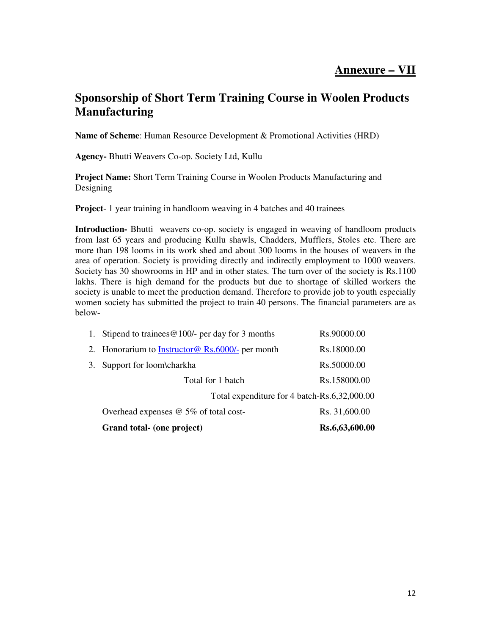# **Sponsorship of Short Term Training Course in Woolen Products Manufacturing**

**Name of Scheme**: Human Resource Development & Promotional Activities (HRD)

**Agency-** Bhutti Weavers Co-op. Society Ltd, Kullu

**Project Name:** Short Term Training Course in Woolen Products Manufacturing and Designing

**Project**- 1 year training in handloom weaving in 4 batches and 40 trainees

**Introduction-** Bhutti weavers co-op. society is engaged in weaving of handloom products from last 65 years and producing Kullu shawls, Chadders, Mufflers, Stoles etc. There are more than 198 looms in its work shed and about 300 looms in the houses of weavers in the area of operation. Society is providing directly and indirectly employment to 1000 weavers. Society has 30 showrooms in HP and in other states. The turn over of the society is Rs.1100 lakhs. There is high demand for the products but due to shortage of skilled workers the society is unable to meet the production demand. Therefore to provide job to youth especially women society has submitted the project to train 40 persons. The financial parameters are as below-

| Grand total- (one project)                               | Rs.6,63,600.00 |
|----------------------------------------------------------|----------------|
| Overhead expenses $@$ 5% of total cost-                  | Rs. 31,600.00  |
| Total expenditure for 4 batch-Rs.6,32,000.00             |                |
| Total for 1 batch                                        | Rs.158000.00   |
| 3. Support for loom\charkha                              | Rs.50000.00    |
| 2. Honorarium to <b>Instructor</b> @ Rs.6000/- per month | Rs.18000.00    |
| 1. Stipend to trainees $@100/-$ per day for 3 months     | Rs.90000.00    |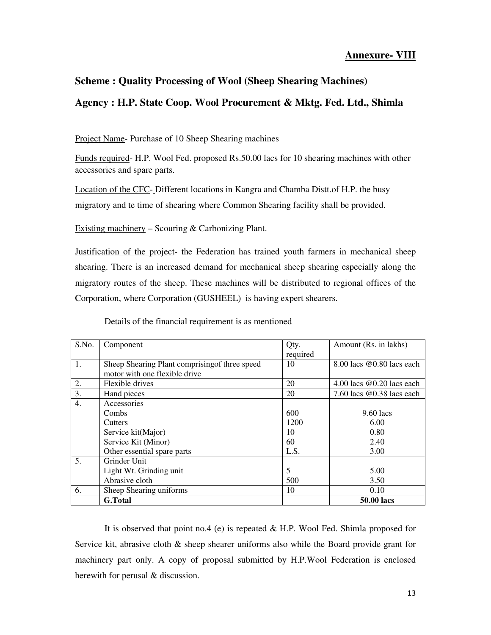# **Annexure- VIII**

## **Scheme : Quality Processing of Wool (Sheep Shearing Machines)**

# **Agency : H.P. State Coop. Wool Procurement & Mktg. Fed. Ltd., Shimla**

Project Name- Purchase of 10 Sheep Shearing machines

Funds required- H.P. Wool Fed. proposed Rs.50.00 lacs for 10 shearing machines with other accessories and spare parts.

Location of the CFC- Different locations in Kangra and Chamba Distt.of H.P. the busy migratory and te time of shearing where Common Shearing facility shall be provided.

Existing machinery – Scouring  $&$  Carbonizing Plant.

Justification of the project- the Federation has trained youth farmers in mechanical sheep shearing. There is an increased demand for mechanical sheep shearing especially along the migratory routes of the sheep. These machines will be distributed to regional offices of the Corporation, where Corporation (GUSHEEL) is having expert shearers.

| S.No.            | Component                                                                       | Qty.<br>required | Amount (Rs. in lakhs)       |
|------------------|---------------------------------------------------------------------------------|------------------|-----------------------------|
| 1.               | Sheep Shearing Plant comprising of three speed<br>motor with one flexible drive | 10               | 8.00 lacs @0.80 lacs each   |
| 2.               | Flexible drives                                                                 | 20               | 4.00 lacs $@0.20$ lacs each |
| 3.               | Hand pieces                                                                     | 20               | 7.60 lacs $@0.38$ lacs each |
| $\overline{4}$ . | Accessories                                                                     |                  |                             |
|                  | Combs                                                                           | 600              | $9.60$ lacs                 |
|                  | <b>Cutters</b>                                                                  | 1200             | 6.00                        |
|                  | Service kit(Major)                                                              | 10               | 0.80                        |
|                  | Service Kit (Minor)                                                             | 60               | 2.40                        |
|                  | Other essential spare parts                                                     | L.S.             | 3.00                        |
| 5.               | Grinder Unit                                                                    |                  |                             |
|                  | Light Wt. Grinding unit                                                         | 5                | 5.00                        |
|                  | Abrasive cloth                                                                  | 500              | 3.50                        |
| 6.               | Sheep Shearing uniforms                                                         | 10               | 0.10                        |
|                  | <b>G.Total</b>                                                                  |                  | <b>50.00 lacs</b>           |

Details of the financial requirement is as mentioned

 It is observed that point no.4 (e) is repeated & H.P. Wool Fed. Shimla proposed for Service kit, abrasive cloth & sheep shearer uniforms also while the Board provide grant for machinery part only. A copy of proposal submitted by H.P.Wool Federation is enclosed herewith for perusal & discussion.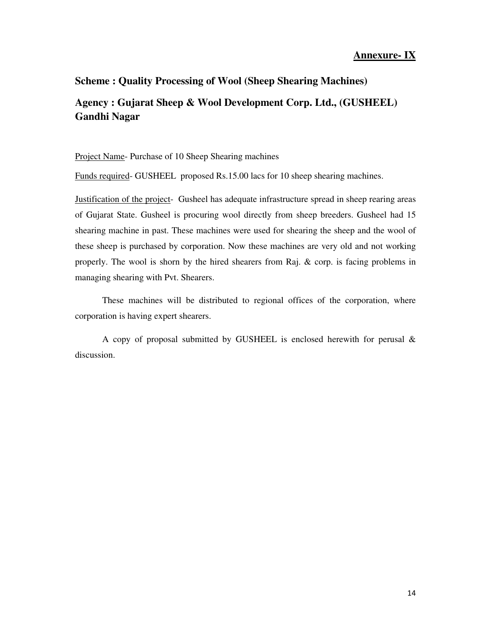### **Annexure- IX**

# **Scheme : Quality Processing of Wool (Sheep Shearing Machines) Agency : Gujarat Sheep & Wool Development Corp. Ltd., (GUSHEEL) Gandhi Nagar**

Project Name- Purchase of 10 Sheep Shearing machines

Funds required- GUSHEEL proposed Rs.15.00 lacs for 10 sheep shearing machines.

Justification of the project- Gusheel has adequate infrastructure spread in sheep rearing areas of Gujarat State. Gusheel is procuring wool directly from sheep breeders. Gusheel had 15 shearing machine in past. These machines were used for shearing the sheep and the wool of these sheep is purchased by corporation. Now these machines are very old and not working properly. The wool is shorn by the hired shearers from Raj. & corp. is facing problems in managing shearing with Pvt. Shearers.

 These machines will be distributed to regional offices of the corporation, where corporation is having expert shearers.

A copy of proposal submitted by GUSHEEL is enclosed herewith for perusal & discussion.